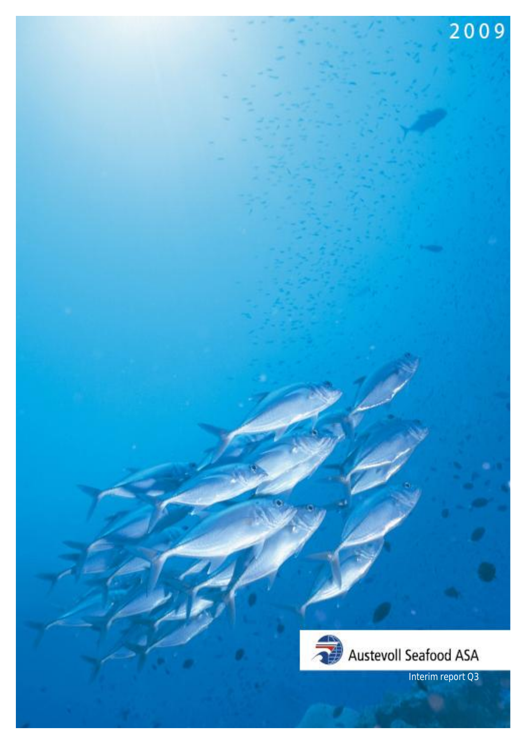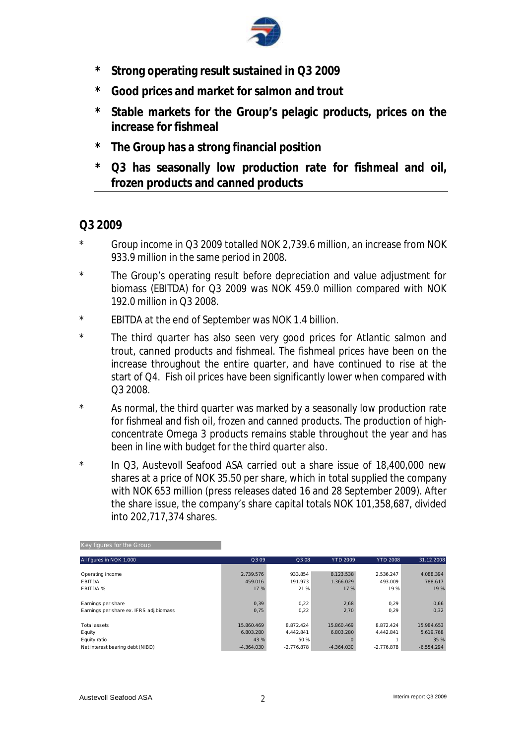

- **\* Strong operating result sustained in Q3 2009**
- **\* Good prices and market for salmon and trout**
- **\* Stable markets for the Group's pelagic products, prices on the increase for fishmeal**
- **\* The Group has a strong financial position**
- **\* Q3 has seasonally low production rate for fishmeal and oil, frozen products and canned products**

# **Q3 2009**

- Group income in Q3 2009 totalled NOK 2,739.6 million, an increase from NOK 933.9 million in the same period in 2008.
- \* The Group's operating result before depreciation and value adjustment for biomass (EBITDA) for Q3 2009 was NOK 459.0 million compared with NOK 192.0 million in Q3 2008.
- \* EBITDA at the end of September was NOK 1.4 billion.
- \* The third quarter has also seen very good prices for Atlantic salmon and trout, canned products and fishmeal. The fishmeal prices have been on the increase throughout the entire quarter, and have continued to rise at the start of Q4. Fish oil prices have been significantly lower when compared with Q3 2008.
- \* As normal, the third quarter was marked by a seasonally low production rate for fishmeal and fish oil, frozen and canned products. The production of highconcentrate Omega 3 products remains stable throughout the year and has been in line with budget for the third quarter also.
- \* In Q3, Austevoll Seafood ASA carried out a share issue of 18,400,000 new shares at a price of NOK 35.50 per share, which in total supplied the company with NOK 653 million (press releases dated 16 and 28 September 2009). After the share issue, the company's share capital totals NOK 101,358,687, divided into 202,717,374 shares.

| Q309         | Q3 08        | <b>YTD 2009</b> |              | 31.12.2008                    |
|--------------|--------------|-----------------|--------------|-------------------------------|
|              |              |                 |              |                               |
| 2.739.576    | 933.854      | 8.123.538       | 2.536.247    | 4.088.394                     |
| 459.016      | 191.973      | 1.366.029       | 493.009      | 788.617                       |
| 17 %         | 21 %         |                 |              | 19 %                          |
|              |              |                 |              |                               |
| 0.39         | 0.22         | 2,68            | 0.29         | 0,66                          |
| 0,75         | 0.22         | 2,70            | 0.29         | 0,32                          |
|              |              |                 |              |                               |
| 15.860.469   | 8.872.424    | 15.860.469      | 8.872.424    | 15.984.653                    |
| 6.803.280    | 4.442.841    | 6.803.280       | 4.442.841    | 5.619.768                     |
| 43 %         | 50 %         |                 |              | 35 %                          |
| $-4.364.030$ | $-2.776.878$ | $-4.364.030$    | $-2.776.878$ | $-6.554.294$                  |
|              |              |                 |              | <b>YTD 2008</b><br>19%<br>17% |

Key figures for the Group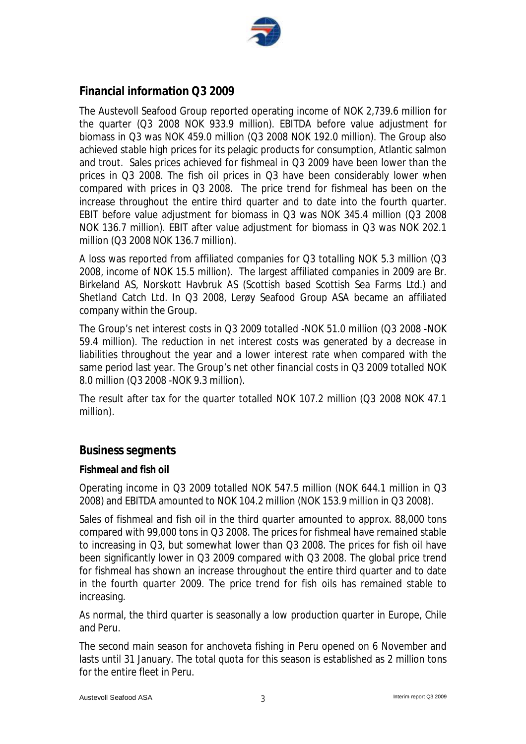

# **Financial information Q3 2009**

The Austevoll Seafood Group reported operating income of NOK 2,739.6 million for the quarter (Q3 2008 NOK 933.9 million). EBITDA before value adjustment for biomass in Q3 was NOK 459.0 million (Q3 2008 NOK 192.0 million). The Group also achieved stable high prices for its pelagic products for consumption, Atlantic salmon and trout. Sales prices achieved for fishmeal in Q3 2009 have been lower than the prices in Q3 2008. The fish oil prices in Q3 have been considerably lower when compared with prices in Q3 2008. The price trend for fishmeal has been on the increase throughout the entire third quarter and to date into the fourth quarter. EBIT before value adjustment for biomass in Q3 was NOK 345.4 million (Q3 2008 NOK 136.7 million). EBIT after value adjustment for biomass in Q3 was NOK 202.1 million (Q3 2008 NOK 136.7 million).

A loss was reported from affiliated companies for Q3 totalling NOK 5.3 million (Q3 2008, income of NOK 15.5 million). The largest affiliated companies in 2009 are Br. Birkeland AS, Norskott Havbruk AS (Scottish based Scottish Sea Farms Ltd.) and Shetland Catch Ltd. In Q3 2008, Lerøy Seafood Group ASA became an affiliated company within the Group.

The Group's net interest costs in Q3 2009 totalled -NOK 51.0 million (Q3 2008 -NOK 59.4 million). The reduction in net interest costs was generated by a decrease in liabilities throughout the year and a lower interest rate when compared with the same period last year. The Group's net other financial costs in Q3 2009 totalled NOK 8.0 million (Q3 2008 -NOK 9.3 million).

The result after tax for the quarter totalled NOK 107.2 million (Q3 2008 NOK 47.1 million).

# **Business segments**

### **Fishmeal and fish oil**

Operating income in Q3 2009 totalled NOK 547.5 million (NOK 644.1 million in Q3 2008) and EBITDA amounted to NOK 104.2 million (NOK 153.9 million in Q3 2008).

Sales of fishmeal and fish oil in the third quarter amounted to approx. 88,000 tons compared with 99,000 tons in Q3 2008. The prices for fishmeal have remained stable to increasing in Q3, but somewhat lower than Q3 2008. The prices for fish oil have been significantly lower in Q3 2009 compared with Q3 2008. The global price trend for fishmeal has shown an increase throughout the entire third quarter and to date in the fourth quarter 2009. The price trend for fish oils has remained stable to increasing.

As normal, the third quarter is seasonally a low production quarter in Europe, Chile and Peru.

The second main season for anchoveta fishing in Peru opened on 6 November and lasts until 31 January. The total quota for this season is established as 2 million tons for the entire fleet in Peru.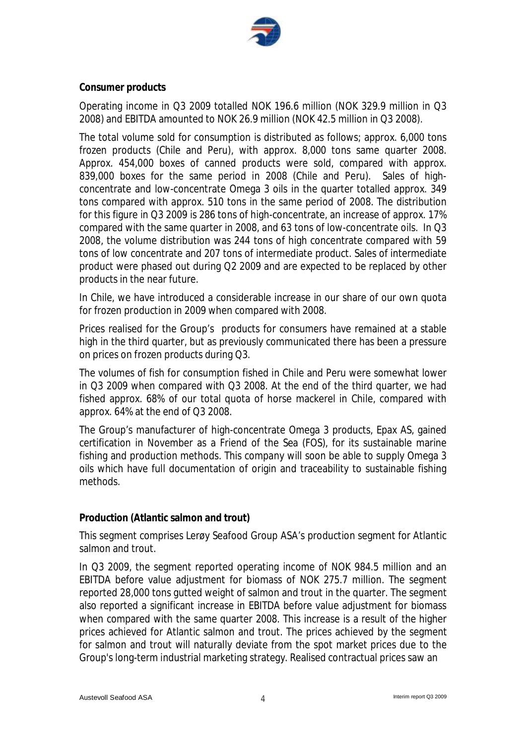

#### **Consumer products**

Operating income in Q3 2009 totalled NOK 196.6 million (NOK 329.9 million in Q3 2008) and EBITDA amounted to NOK 26.9 million (NOK 42.5 million in Q3 2008).

The total volume sold for consumption is distributed as follows; approx. 6,000 tons frozen products (Chile and Peru), with approx. 8,000 tons same quarter 2008. Approx. 454,000 boxes of canned products were sold, compared with approx. 839,000 boxes for the same period in 2008 (Chile and Peru). Sales of highconcentrate and low-concentrate Omega 3 oils in the quarter totalled approx. 349 tons compared with approx. 510 tons in the same period of 2008. The distribution for this figure in Q3 2009 is 286 tons of high-concentrate, an increase of approx. 17% compared with the same quarter in 2008, and 63 tons of low-concentrate oils. In Q3 2008, the volume distribution was 244 tons of high concentrate compared with 59 tons of low concentrate and 207 tons of intermediate product. Sales of intermediate product were phased out during Q2 2009 and are expected to be replaced by other products in the near future.

In Chile, we have introduced a considerable increase in our share of our own quota for frozen production in 2009 when compared with 2008.

Prices realised for the Group's products for consumers have remained at a stable high in the third quarter, but as previously communicated there has been a pressure on prices on frozen products during Q3.

The volumes of fish for consumption fished in Chile and Peru were somewhat lower in Q3 2009 when compared with Q3 2008. At the end of the third quarter, we had fished approx. 68% of our total quota of horse mackerel in Chile, compared with approx. 64% at the end of Q3 2008.

The Group's manufacturer of high-concentrate Omega 3 products, Epax AS, gained certification in November as a Friend of the Sea (FOS), for its sustainable marine fishing and production methods. This company will soon be able to supply Omega 3 oils which have full documentation of origin and traceability to sustainable fishing methods.

#### **Production (Atlantic salmon and trout)**

This segment comprises Lerøy Seafood Group ASA's production segment for Atlantic salmon and trout.

In Q3 2009, the segment reported operating income of NOK 984.5 million and an EBITDA before value adjustment for biomass of NOK 275.7 million. The segment reported 28,000 tons gutted weight of salmon and trout in the quarter. The segment also reported a significant increase in EBITDA before value adjustment for biomass when compared with the same quarter 2008. This increase is a result of the higher prices achieved for Atlantic salmon and trout. The prices achieved by the segment for salmon and trout will naturally deviate from the spot market prices due to the Group's long-term industrial marketing strategy. Realised contractual prices saw an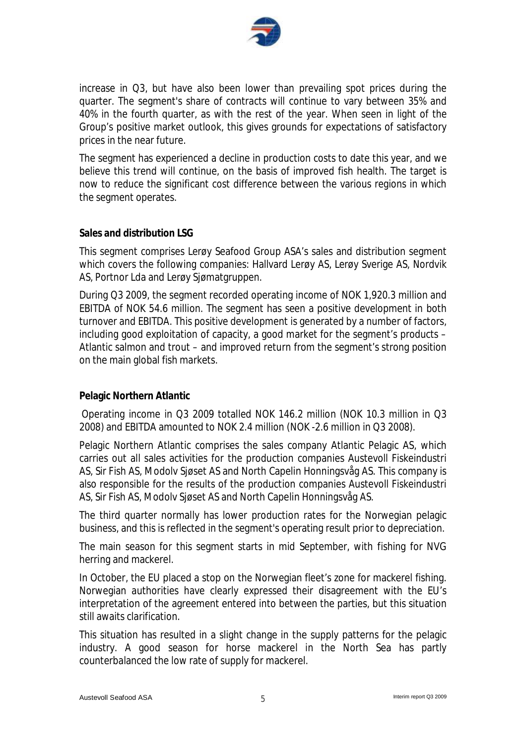

increase in Q3, but have also been lower than prevailing spot prices during the quarter. The segment's share of contracts will continue to vary between 35% and 40% in the fourth quarter, as with the rest of the year. When seen in light of the Group's positive market outlook, this gives grounds for expectations of satisfactory prices in the near future.

The segment has experienced a decline in production costs to date this year, and we believe this trend will continue, on the basis of improved fish health. The target is now to reduce the significant cost difference between the various regions in which the segment operates.

#### **Sales and distribution LSG**

This segment comprises Lerøy Seafood Group ASA's sales and distribution segment which covers the following companies: Hallvard Lerøy AS, Lerøy Sverige AS, Nordvik AS, Portnor Lda and Lerøy Sjømatgruppen.

During Q3 2009, the segment recorded operating income of NOK 1,920.3 million and EBITDA of NOK 54.6 million. The segment has seen a positive development in both turnover and EBITDA. This positive development is generated by a number of factors, including good exploitation of capacity, a good market for the segment's products – Atlantic salmon and trout – and improved return from the segment's strong position on the main global fish markets.

### **Pelagic Northern Atlantic**

Operating income in Q3 2009 totalled NOK 146.2 million (NOK 10.3 million in Q3 2008) and EBITDA amounted to NOK 2.4 million (NOK -2.6 million in Q3 2008).

Pelagic Northern Atlantic comprises the sales company Atlantic Pelagic AS, which carries out all sales activities for the production companies Austevoll Fiskeindustri AS, Sir Fish AS, Modolv Sjøset AS and North Capelin Honningsvåg AS. This company is also responsible for the results of the production companies Austevoll Fiskeindustri AS, Sir Fish AS, Modolv Sjøset AS and North Capelin Honningsvåg AS.

The third quarter normally has lower production rates for the Norwegian pelagic business, and this is reflected in the segment's operating result prior to depreciation.

The main season for this segment starts in mid September, with fishing for NVG herring and mackerel.

In October, the EU placed a stop on the Norwegian fleet's zone for mackerel fishing. Norwegian authorities have clearly expressed their disagreement with the EU's interpretation of the agreement entered into between the parties, but this situation still awaits clarification.

This situation has resulted in a slight change in the supply patterns for the pelagic industry. A good season for horse mackerel in the North Sea has partly counterbalanced the low rate of supply for mackerel.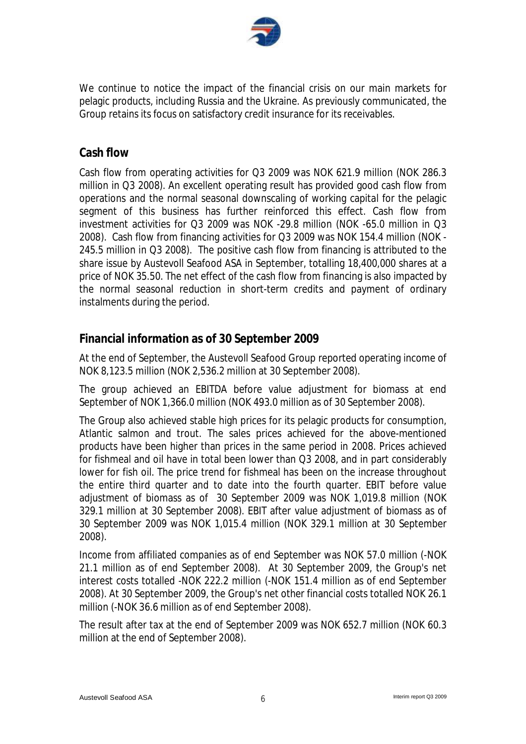

We continue to notice the impact of the financial crisis on our main markets for pelagic products, including Russia and the Ukraine. As previously communicated, the Group retains its focus on satisfactory credit insurance for its receivables.

# **Cash flow**

Cash flow from operating activities for Q3 2009 was NOK 621.9 million (NOK 286.3 million in Q3 2008). An excellent operating result has provided good cash flow from operations and the normal seasonal downscaling of working capital for the pelagic segment of this business has further reinforced this effect. Cash flow from investment activities for Q3 2009 was NOK -29.8 million (NOK -65.0 million in Q3 2008). Cash flow from financing activities for Q3 2009 was NOK 154.4 million (NOK - 245.5 million in Q3 2008). The positive cash flow from financing is attributed to the share issue by Austevoll Seafood ASA in September, totalling 18,400,000 shares at a price of NOK 35.50. The net effect of the cash flow from financing is also impacted by the normal seasonal reduction in short-term credits and payment of ordinary instalments during the period.

# **Financial information as of 30 September 2009**

At the end of September, the Austevoll Seafood Group reported operating income of NOK 8,123.5 million (NOK 2,536.2 million at 30 September 2008).

The group achieved an EBITDA before value adjustment for biomass at end September of NOK 1,366.0 million (NOK 493.0 million as of 30 September 2008).

The Group also achieved stable high prices for its pelagic products for consumption, Atlantic salmon and trout. The sales prices achieved for the above-mentioned products have been higher than prices in the same period in 2008. Prices achieved for fishmeal and oil have in total been lower than Q3 2008, and in part considerably lower for fish oil. The price trend for fishmeal has been on the increase throughout the entire third quarter and to date into the fourth quarter. EBIT before value adjustment of biomass as of 30 September 2009 was NOK 1,019.8 million (NOK 329.1 million at 30 September 2008). EBIT after value adjustment of biomass as of 30 September 2009 was NOK 1,015.4 million (NOK 329.1 million at 30 September 2008).

Income from affiliated companies as of end September was NOK 57.0 million (-NOK 21.1 million as of end September 2008). At 30 September 2009, the Group's net interest costs totalled -NOK 222.2 million (-NOK 151.4 million as of end September 2008). At 30 September 2009, the Group's net other financial costs totalled NOK 26.1 million (-NOK 36.6 million as of end September 2008).

The result after tax at the end of September 2009 was NOK 652.7 million (NOK 60.3 million at the end of September 2008).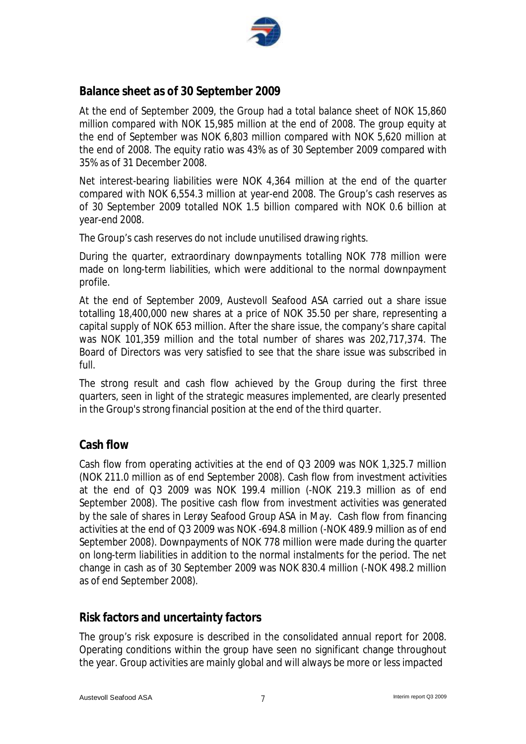

# **Balance sheet as of 30 September 2009**

At the end of September 2009, the Group had a total balance sheet of NOK 15,860 million compared with NOK 15,985 million at the end of 2008. The group equity at the end of September was NOK 6,803 million compared with NOK 5,620 million at the end of 2008. The equity ratio was 43% as of 30 September 2009 compared with 35% as of 31 December 2008.

Net interest-bearing liabilities were NOK 4,364 million at the end of the quarter compared with NOK 6,554.3 million at year-end 2008. The Group's cash reserves as of 30 September 2009 totalled NOK 1.5 billion compared with NOK 0.6 billion at year-end 2008.

The Group's cash reserves do not include unutilised drawing rights.

During the quarter, extraordinary downpayments totalling NOK 778 million were made on long-term liabilities, which were additional to the normal downpayment profile.

At the end of September 2009, Austevoll Seafood ASA carried out a share issue totalling 18,400,000 new shares at a price of NOK 35.50 per share, representing a capital supply of NOK 653 million. After the share issue, the company's share capital was NOK 101,359 million and the total number of shares was 202,717,374. The Board of Directors was very satisfied to see that the share issue was subscribed in full.

The strong result and cash flow achieved by the Group during the first three quarters, seen in light of the strategic measures implemented, are clearly presented in the Group's strong financial position at the end of the third quarter.

# **Cash flow**

Cash flow from operating activities at the end of Q3 2009 was NOK 1,325.7 million (NOK 211.0 million as of end September 2008). Cash flow from investment activities at the end of Q3 2009 was NOK 199.4 million (-NOK 219.3 million as of end September 2008). The positive cash flow from investment activities was generated by the sale of shares in Lerøy Seafood Group ASA in May. Cash flow from financing activities at the end of Q3 2009 was NOK -694.8 million (-NOK 489.9 million as of end September 2008). Downpayments of NOK 778 million were made during the quarter on long-term liabilities in addition to the normal instalments for the period. The net change in cash as of 30 September 2009 was NOK 830.4 million (-NOK 498.2 million as of end September 2008).

# **Risk factors and uncertainty factors**

The group's risk exposure is described in the consolidated annual report for 2008. Operating conditions within the group have seen no significant change throughout the year. Group activities are mainly global and will always be more or less impacted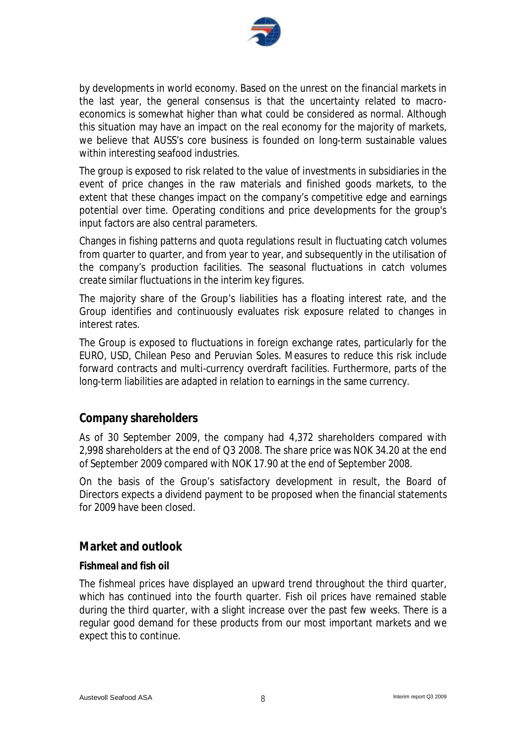

by developments in world economy. Based on the unrest on the financial markets in the last year, the general consensus is that the uncertainty related to macroeconomics is somewhat higher than what could be considered as normal. Although this situation may have an impact on the real economy for the majority of markets, we believe that AUSS's core business is founded on long-term sustainable values within interesting seafood industries.

The group is exposed to risk related to the value of investments in subsidiaries in the event of price changes in the raw materials and finished goods markets, to the extent that these changes impact on the company's competitive edge and earnings potential over time. Operating conditions and price developments for the group's input factors are also central parameters.

Changes in fishing patterns and quota regulations result in fluctuating catch volumes from quarter to quarter, and from year to year, and subsequently in the utilisation of the company's production facilities. The seasonal fluctuations in catch volumes create similar fluctuations in the interim key figures.

The majority share of the Group's liabilities has a floating interest rate, and the Group identifies and continuously evaluates risk exposure related to changes in interest rates.

The Group is exposed to fluctuations in foreign exchange rates, particularly for the EURO, USD, Chilean Peso and Peruvian Soles. Measures to reduce this risk include forward contracts and multi-currency overdraft facilities. Furthermore, parts of the long-term liabilities are adapted in relation to earnings in the same currency.

# **Company shareholders**

As of 30 September 2009, the company had 4,372 shareholders compared with 2,998 shareholders at the end of Q3 2008. The share price was NOK 34.20 at the end of September 2009 compared with NOK 17.90 at the end of September 2008.

On the basis of the Group's satisfactory development in result, the Board of Directors expects a dividend payment to be proposed when the financial statements for 2009 have been closed.

# **Market and outlook**

### **Fishmeal and fish oil**

The fishmeal prices have displayed an upward trend throughout the third quarter, which has continued into the fourth quarter. Fish oil prices have remained stable during the third quarter, with a slight increase over the past few weeks. There is a regular good demand for these products from our most important markets and we expect this to continue.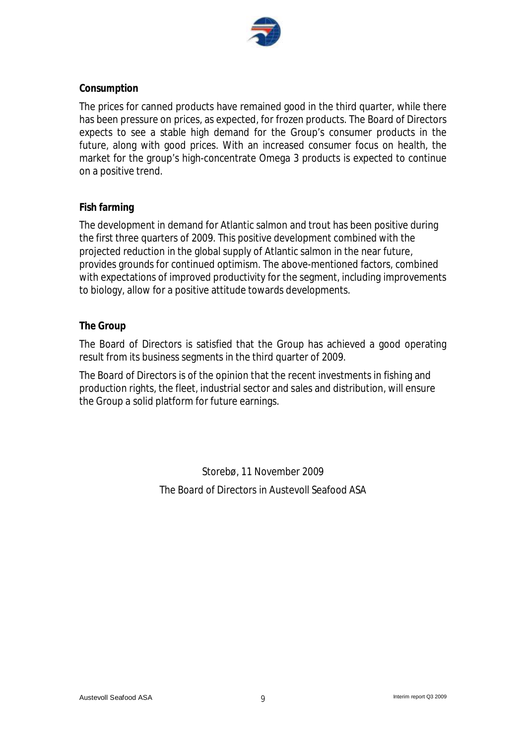

#### **Consumption**

The prices for canned products have remained good in the third quarter, while there has been pressure on prices, as expected, for frozen products. The Board of Directors expects to see a stable high demand for the Group's consumer products in the future, along with good prices. With an increased consumer focus on health, the market for the group's high-concentrate Omega 3 products is expected to continue on a positive trend.

### **Fish farming**

The development in demand for Atlantic salmon and trout has been positive during the first three quarters of 2009. This positive development combined with the projected reduction in the global supply of Atlantic salmon in the near future, provides grounds for continued optimism. The above-mentioned factors, combined with expectations of improved productivity for the segment, including improvements to biology, allow for a positive attitude towards developments.

#### **The Group**

The Board of Directors is satisfied that the Group has achieved a good operating result from its business segments in the third quarter of 2009.

The Board of Directors is of the opinion that the recent investments in fishing and production rights, the fleet, industrial sector and sales and distribution, will ensure the Group a solid platform for future earnings.

> Storebø, 11 November 2009 The Board of Directors in Austevoll Seafood ASA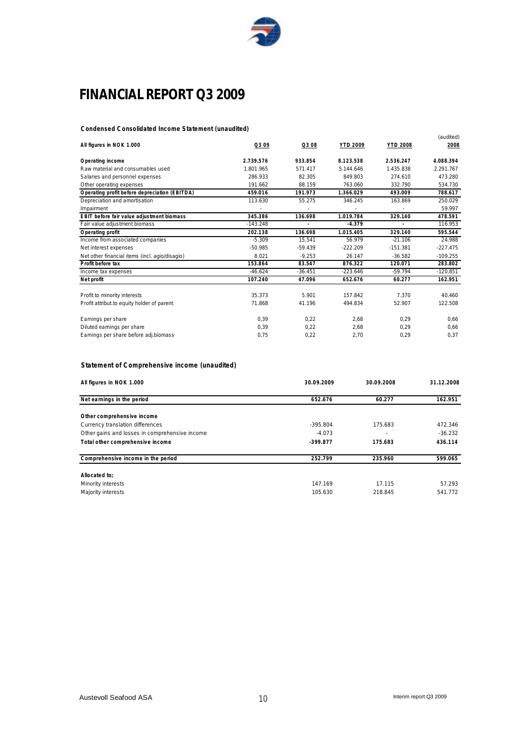

# **FINANCIAL REPORT Q3 2009**

#### **Condensed Consolidated Income Statement (unaudited)**

|                                                |            |           |                 |                 | (audited)  |
|------------------------------------------------|------------|-----------|-----------------|-----------------|------------|
| All figures in NOK 1.000                       | Q3 09      | Q3 08     | <b>YTD 2009</b> | <b>YTD 2008</b> | 2008       |
| Operating income                               | 2.739.576  | 933.854   | 8.123.538       | 2.536.247       | 4.088.394  |
| Raw material and consumables used              | 1.801.965  | 571.417   | 5.144.646       | 1.435.838       | 2.291.767  |
| Salaries and personnel expenses                | 286.933    | 82.305    | 849.803         | 274.610         | 473.280    |
| Other operating expenses                       | 191.662    | 88.159    | 763.060         | 332.790         | 534.730    |
| Operating profit before depreciation (EBITDA)  | 459.016    | 191.973   | 1.366.029       | 493.009         | 788.617    |
| Depreciation and amortisation                  | 113.630    | 55.275    | 346.245         | 163.869         | 250.029    |
| Impairment                                     |            |           | ÷,              |                 | 59.997     |
| EBIT before fair value adjustment biomass      | 345.386    | 136.698   | 1.019.784       | 329.140         | 478.591    |
| Fair value adjustment biomass                  | $-143.248$ |           | $-4.379$        | ×,              | 116.953    |
| Operating profit                               | 202.138    | 136.698   | 1.015.405       | 329.140         | 595.544    |
| Income from associated companies               | $-5.309$   | 15.541    | 56.979          | $-21.106$       | 24.988     |
| Net interest expenses                          | $-50.985$  | $-59.439$ | $-222.209$      | $-151.381$      | $-227.475$ |
| Net other financial items (incl. agio/disagio) | 8.021      | $-9.253$  | 26.147          | $-36.582$       | $-109.255$ |
| Profit before tax                              | 153.864    | 83.547    | 876.322         | 120.071         | 283.802    |
| Income tax expenses                            | $-46.624$  | $-36.451$ | $-223.646$      | $-59.794$       | $-120.851$ |
| Net profit                                     | 107.240    | 47.096    | 652.676         | 60.277          | 162.951    |
| Profit to minority interests                   | 35.373     | 5.901     | 157.842         | 7.370           | 40.460     |
| Profit attribut to equity holder of parent     | 71.868     | 41.196    | 494.834         | 52.907          | 122.508    |
| Earnings per share                             | 0.39       | 0.22      | 2.68            | 0.29            | 0.66       |
| Diluted earnings per share                     | 0.39       | 0,22      | 2,68            | 0,29            | 0,66       |
| Earnings per share before adj.biomass          | 0.75       | 0,22      | 2,70            | 0,29            | 0,37       |

#### **Statement of Comprehensive income (unaudited)**

| All figures in NOK 1.000                       | 30.09.2009 | 30.09.2008 | 31.12.2008 |
|------------------------------------------------|------------|------------|------------|
| Net earnings in the period                     | 652.676    | 60.277     | 162.951    |
| Other comprehensive income                     |            |            |            |
| Currency translation differences               | $-395.804$ | 175.683    | 472.346    |
| Other gains and losses in comprehensive income | $-4.073$   |            | $-36.232$  |
| Total other comprehensive income               | $-399.877$ | 175.683    | 436.114    |
| Comprehensive income in the period             | 252.799    | 235.960    | 599.065    |
| Allocated to:                                  |            |            |            |
| Minority interests                             | 147.169    | 17.115     | 57.293     |
| Majority interests                             | 105.630    | 218.845    | 541.772    |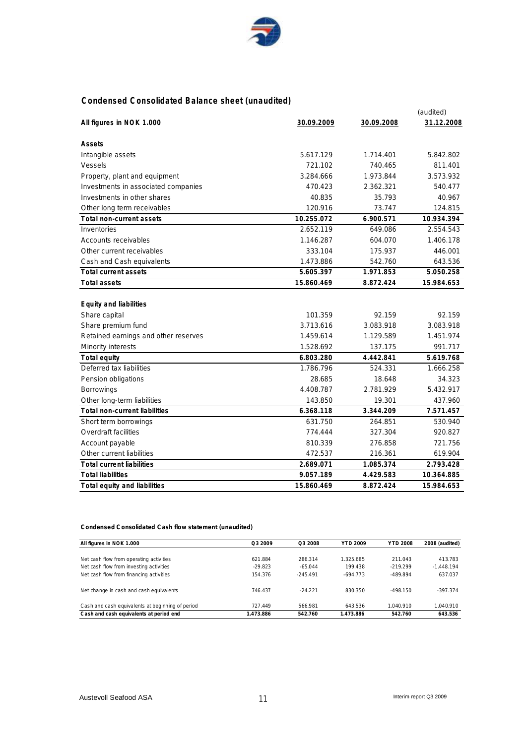

#### **Condensed Consolidated Balance sheet (unaudited)**

|                                      |                   |            | (audited)  |
|--------------------------------------|-------------------|------------|------------|
| All figures in NOK 1.000             | <u>30.09.2009</u> | 30.09.2008 | 31.12.2008 |
|                                      |                   |            |            |
| Assets                               |                   |            |            |
| Intangible assets                    | 5.617.129         | 1.714.401  | 5.842.802  |
| <b>Vessels</b>                       | 721.102           | 740.465    | 811.401    |
| Property, plant and equipment        | 3.284.666         | 1.973.844  | 3.573.932  |
| Investments in associated companies  | 470.423           | 2.362.321  | 540.477    |
| Investments in other shares          | 40.835            | 35.793     | 40.967     |
| Other long term receivables          | 120.916           | 73.747     | 124.815    |
| Total non-current assets             | 10.255.072        | 6.900.571  | 10.934.394 |
| Inventories                          | 2.652.119         | 649.086    | 2.554.543  |
| Accounts receivables                 | 1.146.287         | 604.070    | 1.406.178  |
| Other current receivables            | 333.104           | 175.937    | 446.001    |
| Cash and Cash equivalents            | 1.473.886         | 542.760    | 643.536    |
| Total current assets                 | 5.605.397         | 1.971.853  | 5.050.258  |
| Total assets                         | 15.860.469        | 8.872.424  | 15.984.653 |
|                                      |                   |            |            |
| Equity and liabilities               |                   |            |            |
| Share capital                        | 101.359           | 92.159     | 92.159     |
| Share premium fund                   | 3.713.616         | 3.083.918  | 3.083.918  |
| Retained earnings and other reserves | 1.459.614         | 1.129.589  | 1.451.974  |
| Minority interests                   | 1.528.692         | 137.175    | 991.717    |
| Total equity                         | 6.803.280         | 4.442.841  | 5.619.768  |
| Deferred tax liabilities             | 1.786.796         | 524.331    | 1.666.258  |
| Pension obligations                  | 28.685            | 18.648     | 34.323     |
| <b>Borrowings</b>                    | 4.408.787         | 2.781.929  | 5.432.917  |
| Other long-term liabilities          | 143.850           | 19.301     | 437.960    |
| <b>Total non-current liabilities</b> | 6.368.118         | 3.344.209  | 7.571.457  |
| Short term borrowings                | 631.750           | 264.851    | 530.940    |
| Overdraft facilities                 | 774.444           | 327.304    | 920.827    |
| Account payable                      | 810.339           | 276.858    | 721.756    |
| Other current liabilities            | 472.537           | 216.361    | 619.904    |
| <b>Total current liabilities</b>     | 2.689.071         | 1.085.374  | 2.793.428  |
| <b>Total liabilities</b>             | 9.057.189         | 4.429.583  | 10.364.885 |
| Total equity and liabilities         | 15.860.469        | 8.872.424  | 15.984.653 |
|                                      |                   |            |            |

**Condensed Consolidated Cash flow statement (unaudited)**

| All figures in NOK 1.000                         | O <sub>3</sub> 2009 | O <sub>3</sub> 2008 | YTD 2009   | <b>YTD 2008</b> | 2008 (audited) |
|--------------------------------------------------|---------------------|---------------------|------------|-----------------|----------------|
|                                                  |                     |                     |            |                 |                |
| Net cash flow from operating activities          | 621.884             | 286.314             | 1.325.685  | 211.043         | 413.783        |
| Net cash flow from investing activities          | $-29.823$           | $-65.044$           | 199.438    | $-219.299$      | $-1.448.194$   |
| Net cash flow from financing activities          | 154.376             | $-245.491$          | $-694.773$ | $-489.894$      | 637.037        |
| Net change in cash and cash equivalents          | 746.437             | $-24.221$           | 830.350    | $-498.150$      | $-397.374$     |
| Cash and cash equivalents at beginning of period | 727.449             | 566.981             | 643.536    | 1.040.910       | 1.040.910      |
| Cash and cash equivalents at period end          | 1.473.886           | 542.760             | 1.473.886  | 542.760         | 643.536        |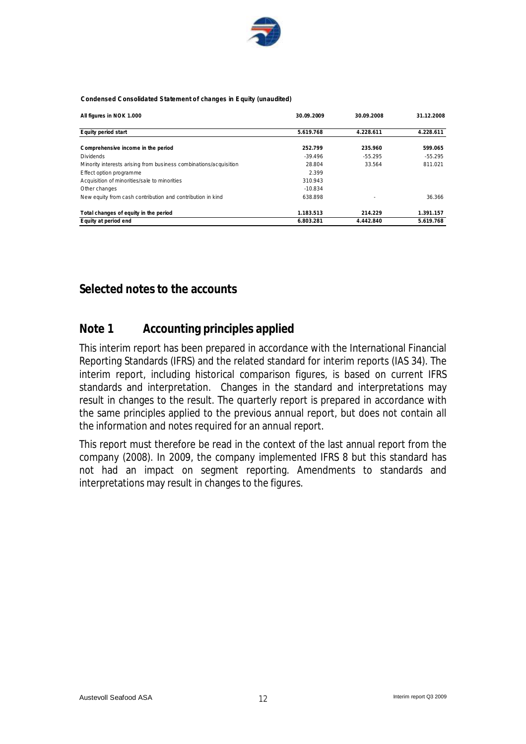

#### **Condensed Consolidated Statement of changes in Equity (unaudited)**

| All figures in NOK 1.000                                          | 30.09.2009 | 30.09.2008 | 31.12.2008 |
|-------------------------------------------------------------------|------------|------------|------------|
| Equity period start                                               | 5.619.768  | 4.228.611  | 4.228.611  |
| Comprehensive income in the period                                | 252.799    | 235.960    | 599.065    |
| <b>Dividends</b>                                                  | $-39.496$  | $-55.295$  | $-55.295$  |
| Minority interests arising from business combinations/acquisition | 28.804     | 33.564     | 811.021    |
| Effect option programme                                           | 2.399      |            |            |
| Acquisition of minorities/sale to minorities                      | 310.943    |            |            |
| Other changes                                                     | $-10.834$  |            |            |
| New equity from cash contribution and contribution in kind        | 638.898    |            | 36.366     |
| Total changes of equity in the period                             | 1.183.513  | 214.229    | 1.391.157  |
| Equity at period end                                              | 6.803.281  | 4.442.840  | 5.619.768  |

## **Selected notes to the accounts**

# **Note 1 Accounting principles applied**

This interim report has been prepared in accordance with the International Financial Reporting Standards (IFRS) and the related standard for interim reports (IAS 34). The interim report, including historical comparison figures, is based on current IFRS standards and interpretation. Changes in the standard and interpretations may result in changes to the result. The quarterly report is prepared in accordance with the same principles applied to the previous annual report, but does not contain all the information and notes required for an annual report.

This report must therefore be read in the context of the last annual report from the company (2008). In 2009, the company implemented IFRS 8 but this standard has not had an impact on segment reporting. Amendments to standards and interpretations may result in changes to the figures.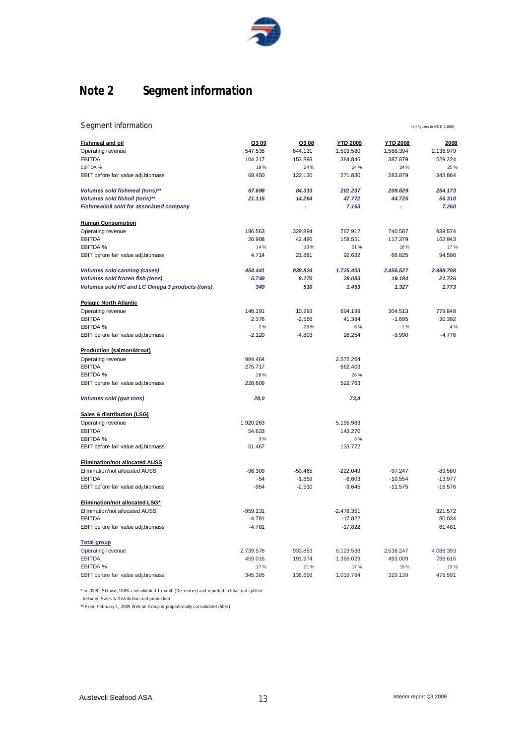

# **Note 2 Segment information**

| Segment information                                   |                |                |                  |                 | (all figures in NOK 1.000) |
|-------------------------------------------------------|----------------|----------------|------------------|-----------------|----------------------------|
| <b>Fishmeal and oil</b>                               | Q309           | Q308           | <b>YTD 2009</b>  | <b>YTD 2008</b> | 2008                       |
| Operating revenue                                     | 547.535        | 644.131        | 1.593.580        | 1.588.394       | 2.136.979                  |
| <b>EBITDA</b>                                         | 104.217        | 153.893        | 384.846          | 387.879         | 529.224                    |
| EBITDA %                                              | 19%            | 24 %           | 24 %             | 24 %            | 25 %                       |
| EBIT before fair value adj.biomass                    | 68.450         | 122.130        | 271.830          | 283.879         | 343.864                    |
| Volumes sold fishmeal (tons)**                        | 67.698         | 84.313         | 201.237          | 209.629         | 254.173                    |
| Volumes sold fishoil (tons)**                         | 21.115         | 14.264         | 47.772           | 44.725          | 56.310                     |
| Fishmeal/oil sold for associated company              |                |                | 7.163            |                 | 7.260                      |
| <b>Human Consumption</b>                              |                |                |                  |                 |                            |
| Operating revenue                                     | 196.563        | 329.894        | 767.912          | 740.587         | 939.574                    |
| <b>EBITDA</b>                                         | 26.908         | 42.496         | 158.551          | 117.379         | 162.943                    |
| EBITDA %                                              | 14%            | 13%            | 21%              | 16%             | 17 %                       |
| EBIT before fair value adj.biomass                    | 4.714          | 21.881         | 92.632           | 66.825          | 94.598                     |
| <b>Volumes sold canning (cases)</b>                   | 454.441        | 838.824        | 1.725.403        | 2.456.527       | 2.998.708                  |
| Volumes sold frozen fish (tons)                       | 5.748          | 8.170          | 28.083           | 19.184          | 21.726                     |
| Volumes sold HC and LC Omega 3 products (tons)        | 349            | 510            | 1.453            | 1.327           | 1.773                      |
| <b>Pelagic North Atlantic</b>                         |                |                |                  |                 |                            |
| Operating revenue                                     | 146.191        | 10.293         | 694.199          | 304.513         | 779.848                    |
| <b>EBITDA</b>                                         | 2.376          | $-2.556$       | 41.384           | $-1.695$        | 30.392                     |
| EBITDA %                                              | 2%             | $-25%$         | 6%               | $-1%$           | 4 %                        |
| EBIT before fair value adj.biomass                    | $-2.120$       | $-4.803$       | 26.254           | $-9.990$        | $-4.776$                   |
| Production (salmon&trout)                             |                |                |                  |                 |                            |
| Operating revenue                                     | 984.464        |                | 2.572.264        |                 |                            |
| <b>EBITDA</b>                                         | 275.717        |                | 662.403          |                 |                            |
| EBITDA %                                              | 28%            |                | 26 %             |                 |                            |
| EBIT before fair value adj.biomass                    | 228.609        |                | 522.763          |                 |                            |
| Volumes sold (gwt tons)                               | 28,0           |                | 73,4             |                 |                            |
| Sales & distribution (LSG)                            |                |                |                  |                 |                            |
| Operating revenue                                     | 1.920.263      |                | 5.195.983        |                 |                            |
| <b>EBITDA</b>                                         | 54.633         |                | 143.270          |                 |                            |
| EBITDA %                                              | 3%             |                | 3%               |                 |                            |
| EBIT before fair value adj.biomass                    | 51.467         |                | 133.772          |                 |                            |
| <b>Elimination/not allocated AUSS</b>                 |                |                |                  |                 |                            |
| Elimination/not allocated AUSS                        | $-96.309$      | $-50.465$      | $-222.049$       | $-97.247$       | $-89.580$                  |
| <b>EBITDA</b>                                         | $-54$          | $-1.859$       | $-6.603$         | $-10.554$       | $-13.977$                  |
| EBIT before fair value adj.biomass                    | $-954$         | $-2.510$       | $-9.645$         | $-11.575$       | $-16.576$                  |
| Elimination/not allocated LSG*                        |                |                |                  |                 |                            |
| Elimination/not allocated AUSS                        | $-959.131$     |                | $-2.478.351$     |                 | 321.572                    |
| <b>EBITDA</b>                                         | $-4.781$       |                | $-17.822$        |                 | 80.034                     |
| EBIT before fair value adj.biomass                    | $-4.781$       |                | $-17.822$        |                 | 61.481                     |
| <b>Total group</b>                                    |                |                |                  |                 |                            |
| Operating revenue                                     | 2.739.576      | 933.853        | 8.123.538        | 2.536.247       | 4.088.393                  |
| <b>EBITDA</b>                                         | 459.016        | 191.974        | 1.366.029        | 493.009         | 788.616                    |
| <b>EBITDA %</b><br>EBIT before fair value adj.biomass | 17%<br>345.385 | 21%<br>136.698 | 17%<br>1.019.784 | 19%<br>329.139  | 19 %<br>478.591            |
|                                                       |                |                |                  |                 |                            |

\* In 2008 LSG was 100% consolidated 1 month (December) and reported in total, not splitted

between Sales & Distribution and production

\*\* From February 1, 2009 Welcon Group is proportionally consolidatet (50%)